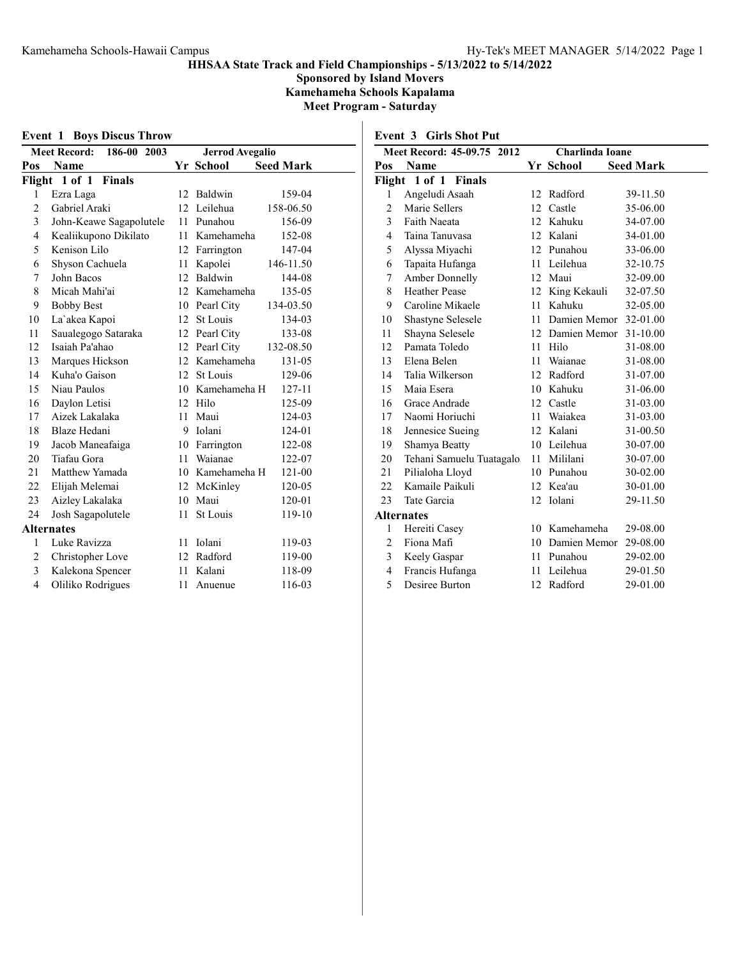Sponsored by Island Movers Kamehameha Schools Kapalama Meet Program - Saturday

Event 1 Boys Discus Throw

|                | <b>Meet Record:</b><br>186-00 2003 | <b>Jerrod Avegalio</b> |                 |                  |
|----------------|------------------------------------|------------------------|-----------------|------------------|
| Pos            | Name                               |                        | Yr School       | <b>Seed Mark</b> |
| Flight         | 1 of 1 Finals                      |                        |                 |                  |
| 1              | Ezra Laga                          | 12                     | Baldwin         | 159-04           |
| $\overline{2}$ | Gabriel Araki                      |                        | 12 Leilehua     | 158-06.50        |
| 3              | John-Keawe Sagapolutele            | 11                     | Punahou         | 156-09           |
| 4              | Kealiikupono Dikilato              | 11                     | Kamehameha      | 152-08           |
| 5              | Kenison Lilo                       |                        | 12 Farrington   | 147-04           |
| 6              | Shyson Cachuela                    | 11                     | Kapolei         | 146-11.50        |
| 7              | John Bacos                         | 12                     | Baldwin         | 144-08           |
| 8              | Micah Mahi'ai                      |                        | 12 Kamehameha   | 135-05           |
| 9              | <b>Bobby Best</b>                  | 10                     | Pearl City      | 134-03.50        |
| 10             | La'akea Kapoi                      | 12                     | St Louis        | 134-03           |
| 11             | Saualegogo Sataraka                |                        | 12 Pearl City   | 133-08           |
| 12             | Isaiah Pa'ahao                     |                        | 12 Pearl City   | 132-08.50        |
| 13             | Marques Hickson                    | 12                     | Kamehameha      | 131-05           |
| 14             | Kuha'o Gaison                      | 12                     | St Louis        | 129-06           |
| 15             | Niau Paulos                        |                        | 10 Kamehameha H | 127-11           |
| 16             | Daylon Letisi                      | 12                     | Hilo            | 125-09           |
| 17             | Aizek Lakalaka                     | 11                     | Maui            | 124-03           |
| 18             | Blaze Hedani                       | 9                      | Iolani          | 124-01           |
| 19             | Jacob Maneafaiga                   | 10                     | Farrington      | 122-08           |
| 20             | Tiafau Gora                        | 11                     | Waianae         | 122-07           |
| 21             | Matthew Yamada                     |                        | 10 Kamehameha H | 121-00           |
| 22             | Elijah Melemai                     | 12                     | McKinley        | 120-05           |
| 23             | Aizley Lakalaka                    | 10                     | Maui            | 120-01           |
| 24             | Josh Sagapolutele                  | 11                     | St Louis        | 119-10           |
|                | <b>Alternates</b>                  |                        |                 |                  |
| 1              | Luke Ravizza                       | 11                     | Iolani          | 119-03           |
| $\overline{2}$ | Christopher Love                   |                        | 12 Radford      | 119-00           |
| 3              | Kalekona Spencer                   | 11                     | Kalani          | 118-09           |
| 4              | Oliliko Rodrigues                  | 11                     | Anuenue         | 116-03           |

Event 3 Girls Shot Put

|                | Meet Record: 45-09.75 2012 | Charlinda Ioane |                 |                  |
|----------------|----------------------------|-----------------|-----------------|------------------|
| Pos            | Name                       |                 | Yr School       | <b>Seed Mark</b> |
| Flight         | 1 of 1 Finals              |                 |                 |                  |
| $\mathbf{1}$   | Angeludi Asaah             | 12              | Radford         | 39-11.50         |
| 2              | Marie Sellers              |                 | 12 Castle       | 35-06.00         |
| 3              | Faith Naeata               | 12              | Kahuku          | 34-07.00         |
| 4              | Taina Tanuvasa             |                 | 12 Kalani       | 34-01.00         |
| 5              | Alyssa Miyachi             |                 | 12 Punahou      | 33-06.00         |
| 6              | Tapaita Hufanga            | 11              | Leilehua        | 32-10.75         |
| 7              | <b>Amber Donnelly</b>      | 12              | Maui            | 32-09.00         |
| 8              | <b>Heather Pease</b>       |                 | 12 King Kekauli | 32-07.50         |
| 9              | Caroline Mikaele           | 11              | Kahuku          | 32-05.00         |
| 10             | Shastyne Selesele          | 11              | Damien Memor    | 32-01.00         |
| 11             | Shayna Selesele            |                 | 12 Damien Memor | $31 - 10.00$     |
| 12             | Pamata Toledo              | 11              | Hilo            | 31-08.00         |
| 13             | Elena Belen                | 11              | Waianae         | 31-08.00         |
| 14             | Talia Wilkerson            |                 | 12 Radford      | 31-07.00         |
| 15             | Maia Esera                 |                 | 10 Kahuku       | 31-06.00         |
| 16             | Grace Andrade              | 12              | Castle          | 31-03.00         |
| 17             | Naomi Horiuchi             | 11              | Waiakea         | 31-03.00         |
| 18             | Jennesice Sueing           |                 | 12 Kalani       | 31-00.50         |
| 19             | Shamya Beatty              | 10              | Leilehua        | 30-07.00         |
| 20             | Tehani Samuelu Tuatagalo   | 11              | Mililani        | 30-07.00         |
| 21             | Pilialoha Lloyd            |                 | 10 Punahou      | 30-02.00         |
| 22             | Kamaile Paikuli            |                 | 12 Kea'au       | 30-01.00         |
| 23             | Tate Garcia                | 12              | Iolani          | 29-11.50         |
|                | <b>Alternates</b>          |                 |                 |                  |
| 1              | Hereiti Casey              | 10              | Kamehameha      | 29-08.00         |
| $\overline{c}$ | Fiona Mafi                 | 10              | Damien Memor    | 29-08.00         |
| 3              | Keely Gaspar               | 11              | Punahou         | 29-02.00         |
| 4              | Francis Hufanga            | 11              | Leilehua        | 29-01.50         |
| 5              | Desiree Burton             |                 | 12 Radford      | 29-01.00         |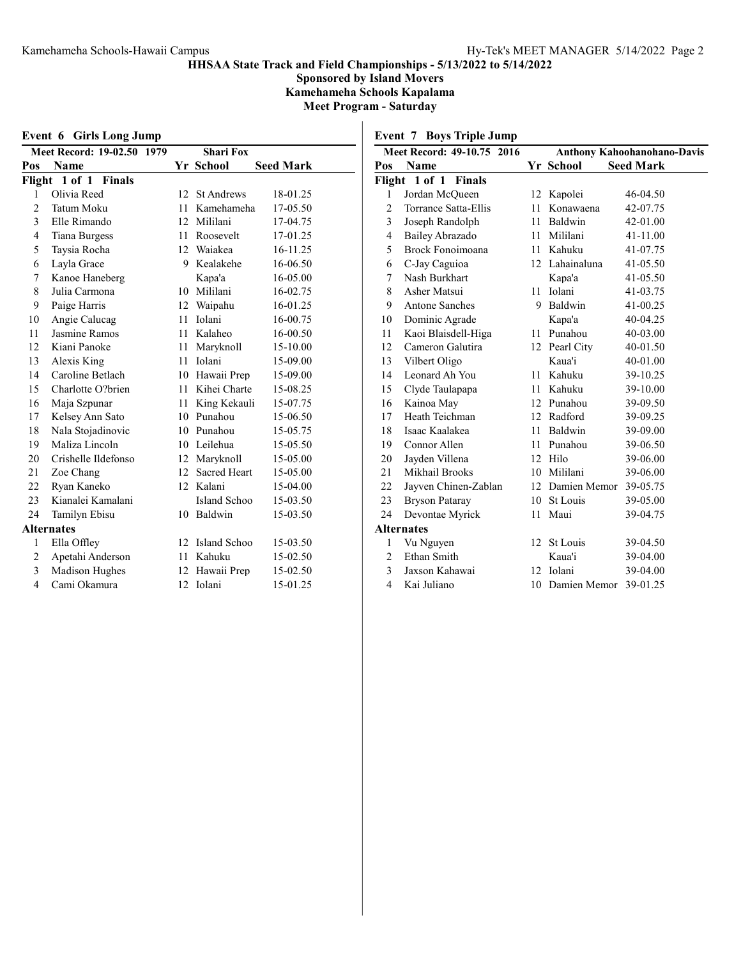Sponsored by Island Movers Kamehameha Schools Kapalama Meet Program - Saturday

Event 6 Girls Long Jump

|        | Meet Record: 19-02.50 1979 | <b>Shari Fox</b> |                     |                  |
|--------|----------------------------|------------------|---------------------|------------------|
| Pos    | Name                       |                  | Yr School           | <b>Seed Mark</b> |
| Flight | 1 of 1 Finals              |                  |                     |                  |
| 1      | Olivia Reed                | 12               | <b>St Andrews</b>   | 18-01.25         |
| 2      | Tatum Moku                 |                  | 11 Kamehameha       | 17-05.50         |
| 3      | Elle Rimando               | 12               | Mililani            | 17-04.75         |
| 4      | <b>Tiana Burgess</b>       | 11               | Roosevelt           | 17-01.25         |
| 5      | Taysia Rocha               |                  | 12 Waiakea          | 16-11.25         |
| 6      | Layla Grace                | 9                | Kealakehe           | 16-06.50         |
| 7      | Kanoe Haneberg             |                  | Kapa'a              | 16-05.00         |
| 8      | Julia Carmona              |                  | 10 Mililani         | 16-02.75         |
| 9      | Paige Harris               |                  | 12 Waipahu          | 16-01.25         |
| 10     | Angie Calucag              | 11               | Iolani              | 16-00.75         |
| 11     | Jasmine Ramos              | 11               | Kalaheo             | 16-00.50         |
| 12     | Kiani Panoke               | 11               | Maryknoll           | 15-10.00         |
| 13     | Alexis King                | 11               | Iolani              | 15-09.00         |
| 14     | Caroline Betlach           |                  | 10 Hawaii Prep      | 15-09.00         |
| 15     | Charlotte O?brien          |                  | 11 Kihei Charte     | 15-08.25         |
| 16     | Maja Szpunar               | 11               | King Kekauli        | 15-07.75         |
| 17     | Kelsey Ann Sato            |                  | 10 Punahou          | 15-06.50         |
| 18     | Nala Stojadinovic          |                  | 10 Punahou          | 15-05.75         |
| 19     | Maliza Lincoln             | 10               | Leilehua            | 15-05.50         |
| 20     | Crishelle Ildefonso        | 12               | Maryknoll           | 15-05.00         |
| 21     | Zoe Chang                  | 12 <sup>7</sup>  | <b>Sacred Heart</b> | 15-05.00         |
| 22     | Ryan Kaneko                | 12               | Kalani              | 15-04.00         |
| 23     | Kianalei Kamalani          |                  | Island Schoo        | 15-03.50         |
| 24     | Tamilyn Ebisu              | 10               | Baldwin             | 15-03.50         |
|        | <b>Alternates</b>          |                  |                     |                  |
| 1      | Ella Offley                | 12               | Island Schoo        | 15-03.50         |
| 2      | Apetahi Anderson           |                  | 11 Kahuku           | 15-02.50         |
| 3      | Madison Hughes             | 12               | Hawaii Prep         | 15-02.50         |
| 4      | Cami Okamura               | 12               | Iolani              | 15-01.25         |

Event 7 Boys Triple Jump

|                | Meet Record: 49-10.75 2016 |      | <b>Anthony Kahoohanohano-Davis</b> |                  |  |  |
|----------------|----------------------------|------|------------------------------------|------------------|--|--|
| Pos            | Name                       |      | Yr School                          | <b>Seed Mark</b> |  |  |
| Flight         | 1 of 1 Finals              |      |                                    |                  |  |  |
| 1              | Jordan McQueen             | 12   | Kapolei                            | 46-04.50         |  |  |
| $\overline{c}$ | Torrance Satta-Ellis       | 11   | Konawaena                          | 42-07.75         |  |  |
| 3              | Joseph Randolph            | 11   | Baldwin                            | 42-01.00         |  |  |
| 4              | Bailey Abrazado            |      | 11 Mililani                        | 41-11.00         |  |  |
| 5              | Brock Fonoimoana           |      | 11 Kahuku                          | 41-07.75         |  |  |
| 6              | C-Jay Caguioa              |      | 12 Lahainaluna                     | 41-05.50         |  |  |
| 7              | Nash Burkhart              |      | Kapa'a                             | 41-05.50         |  |  |
| 8              | Asher Matsui               | 11   | Iolani                             | 41-03.75         |  |  |
| 9              | <b>Antone Sanches</b>      | 9    | Baldwin                            | 41-00.25         |  |  |
| 10             | Dominic Agrade             |      | Kapa'a                             | 40-04.25         |  |  |
| 11             | Kaoi Blaisdell-Higa        |      | 11 Punahou                         | 40-03.00         |  |  |
| 12             | Cameron Galutira           |      | 12 Pearl City                      | 40-01.50         |  |  |
| 13             | Vilbert Oligo              |      | Kaua'i                             | 40-01.00         |  |  |
| 14             | Leonard Ah You             |      | 11 Kahuku                          | 39-10.25         |  |  |
| 15             | Clyde Taulapapa            | 11 - | Kahuku                             | 39-10.00         |  |  |
| 16             | Kainoa May                 |      | 12 Punahou                         | 39-09.50         |  |  |
| 17             | Heath Teichman             |      | 12 Radford                         | 39-09.25         |  |  |
| 18             | Isaac Kaalakea             | 11   | Baldwin                            | 39-09.00         |  |  |
| 19             | Connor Allen               | 11   | Punahou                            | 39-06.50         |  |  |
| 20             | Jayden Villena             |      | 12 Hilo                            | 39-06.00         |  |  |
| 21             | Mikhail Brooks             |      | 10 Mililani                        | 39-06.00         |  |  |
| 22             | Jayven Chinen-Zablan       |      | 12 Damien Memor                    | 39-05.75         |  |  |
| 23             | <b>Bryson Pataray</b>      |      | 10 St Louis                        | 39-05.00         |  |  |
| 24             | Devontae Myrick            | 11   | Maui                               | 39-04.75         |  |  |
|                | <b>Alternates</b>          |      |                                    |                  |  |  |
| $\mathbf{1}$   | Vu Nguyen                  | 12   | St Louis                           | 39-04.50         |  |  |
| $\overline{c}$ | Ethan Smith                |      | Kaua'i                             | 39-04.00         |  |  |
| 3              | Jaxson Kahawai             |      | 12 Iolani                          | 39-04.00         |  |  |
| $\overline{4}$ | Kai Juliano                |      | 10 Damien Memor                    | 39-01.25         |  |  |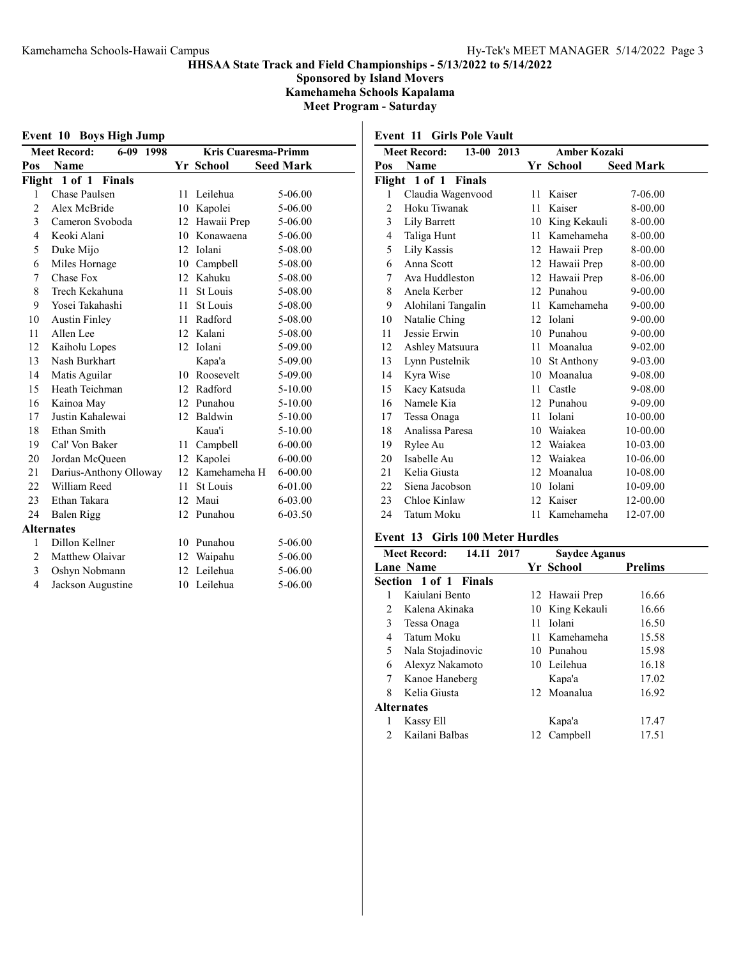Sponsored by Island Movers Kamehameha Schools Kapalama Meet Program - Saturday

| Event 10 Boys High Jump |  |  |  |  |
|-------------------------|--|--|--|--|
|-------------------------|--|--|--|--|

|                          | <b>Meet Record:</b><br>6-09 1998 | <b>Kris Cuaresma-Primm</b> |              |                  |  |  |
|--------------------------|----------------------------------|----------------------------|--------------|------------------|--|--|
| Pos                      | Name                             |                            | Yr School    | <b>Seed Mark</b> |  |  |
| Flight                   | 1 of 1 Finals                    |                            |              |                  |  |  |
| 1                        | Chase Paulsen                    | 11                         | Leilehua     | 5-06.00          |  |  |
| $\overline{2}$           | Alex McBride                     |                            | 10 Kapolei   | 5-06.00          |  |  |
| 3                        | Cameron Svoboda                  | 12 <sup>2</sup>            | Hawaii Prep  | 5-06.00          |  |  |
| 4                        | Keoki Alani                      |                            | 10 Konawaena | 5-06.00          |  |  |
| 5                        | Duke Mijo                        |                            | 12 Iolani    | 5-08.00          |  |  |
| 6                        | Miles Hornage                    | 10                         | Campbell     | 5-08.00          |  |  |
| 7                        | Chase Fox                        |                            | 12 Kahuku    | 5-08.00          |  |  |
| 8                        | Trech Kekahuna                   | $11 -$                     | St Louis     | 5-08.00          |  |  |
| 9                        | Yosei Takahashi                  | 11                         | St Louis     | 5-08.00          |  |  |
| 10                       | <b>Austin Finley</b>             |                            | 11 Radford   | 5-08.00          |  |  |
| 11                       | Allen Lee                        |                            | 12 Kalani    | 5-08.00          |  |  |
| 12                       | Kaiholu Lopes                    | 12                         | Iolani       | 5-09.00          |  |  |
| 13                       | Nash Burkhart                    |                            | Kapa'a       | 5-09.00          |  |  |
| 14                       | Matis Aguilar                    |                            | 10 Roosevelt | 5-09.00          |  |  |
| 15                       | Heath Teichman                   |                            | 12 Radford   | 5-10.00          |  |  |
| 16                       | Kainoa May                       |                            | 12 Punahou   | 5-10.00          |  |  |
| 17                       | Justin Kahalewai                 |                            | 12 Baldwin   | 5-10.00          |  |  |
| 18                       | Ethan Smith                      |                            | Kaua'i       | 5-10.00          |  |  |
| 19                       | Cal' Von Baker                   | 11                         | Campbell     | $6 - 00.00$      |  |  |
| 20                       | Jordan McQueen                   |                            | 12 Kapolei   | $6 - 00.00$      |  |  |
| 21                       | Darius-Anthony Olloway           | 12                         | Kamehameha H | 6-00.00          |  |  |
| 22                       | William Reed                     | 11                         | St Louis     | 6-01.00          |  |  |
| 23                       | Ethan Takara                     | 12                         | Maui         | 6-03.00          |  |  |
| 24                       | <b>Balen Rigg</b>                | 12                         | Punahou      | 6-03.50          |  |  |
|                          | <b>Alternates</b>                |                            |              |                  |  |  |
| 1                        | Dillon Kellner                   |                            | 10 Punahou   | 5-06.00          |  |  |
| $\overline{2}$           | Matthew Olaivar                  | 12                         | Waipahu      | 5-06.00          |  |  |
| 3                        | Oshyn Nobmann                    |                            | 12 Leilehua  | 5-06.00          |  |  |
| $\overline{\mathcal{L}}$ | Jackson Augustine                | 10                         | Leilehua     | 5-06.00          |  |  |

Event 11 Girls Pole Vault

|     | 13-00 2013<br><b>Meet Record:</b> |    | <b>Amber Kozaki</b> |                  |  |
|-----|-----------------------------------|----|---------------------|------------------|--|
| Pos | Name                              |    | Yr School           | <b>Seed Mark</b> |  |
|     | Flight 1 of 1 Finals              |    |                     |                  |  |
| 1   | Claudia Wagenvood                 | 11 | Kaiser              | 7-06.00          |  |
| 2   | Hoku Tiwanak                      | 11 | Kaiser              | 8-00.00          |  |
| 3   | Lily Barrett                      | 10 | King Kekauli        | 8-00.00          |  |
| 4   | Taliga Hunt                       | 11 | Kamehameha          | 8-00.00          |  |
| 5   | Lily Kassis                       |    | 12 Hawaii Prep      | 8-00.00          |  |
| 6   | Anna Scott                        |    | 12 Hawaii Prep      | 8-00.00          |  |
| 7   | Ava Huddleston                    | 12 | Hawaii Prep         | 8-06.00          |  |
| 8   | Anela Kerber                      | 12 | Punahou             | $9 - 00.00$      |  |
| 9   | Alohilani Tangalin                | 11 | Kamehameha          | $9 - 00.00$      |  |
| 10  | Natalie Ching                     |    | 12 Iolani           | 9-00.00          |  |
| 11  | Jessie Erwin                      | 10 | Punahou             | $9 - 00.00$      |  |
| 12  | Ashley Matsuura                   | 11 | Moanalua            | $9 - 02.00$      |  |
| 13  | Lynn Pustelnik                    |    | 10 St Anthony       | 9-03.00          |  |
| 14  | Kyra Wise                         | 10 | Moanalua            | 9-08.00          |  |
| 15  | Kacy Katsuda                      | 11 | Castle              | 9-08.00          |  |
| 16  | Namele Kia                        |    | 12 Punahou          | 9-09.00          |  |
| 17  | Tessa Onaga                       | 11 | Iolani              | 10-00.00         |  |
| 18  | Analissa Paresa                   | 10 | Waiakea             | 10-00.00         |  |
| 19  | Rylee Au                          | 12 | Waiakea             | 10-03.00         |  |
| 20  | Isabelle Au                       | 12 | Waiakea             | 10-06.00         |  |
| 21  | Kelia Giusta                      | 12 | Moanalua            | 10-08.00         |  |
| 22  | Siena Jacobson                    | 10 | Iolani              | 10-09.00         |  |
| 23  | Chloe Kinlaw                      | 12 | Kaiser              | 12-00.00         |  |
| 24  | Tatum Moku                        | 11 | Kamehameha          | 12-07.00         |  |

## Event 13 Girls 100 Meter Hurdles

|                | 14.11 2017<br><b>Meet Record:</b> |     | <b>Saydee Aganus</b> |                |
|----------------|-----------------------------------|-----|----------------------|----------------|
|                | Lane Name                         |     | Yr School            | <b>Prelims</b> |
|                | Section 1 of 1 Finals             |     |                      |                |
|                | Kajulani Bento                    |     | 12 Hawaii Prep       | 16.66          |
| $\mathfrak{D}$ | Kalena Akinaka                    |     | 10 King Kekauli      | 16.66          |
| 3              | Tessa Onaga                       | 11  | Iolani               | 16.50          |
| 4              | Tatum Moku                        |     | 11 Kamehameha        | 15.58          |
| 5              | Nala Stojadinovic                 |     | 10 Punahou           | 15.98          |
| 6              | Alexyz Nakamoto                   |     | 10 Leilehua          | 16.18          |
| 7              | Kanoe Haneberg                    |     | Kapa'a               | 17.02          |
| 8              | Kelia Giusta                      |     | 12 Moanalua          | 16.92          |
|                | <b>Alternates</b>                 |     |                      |                |
| 1              | Kassy Ell                         |     | Kapa'a               | 17.47          |
| $\mathfrak{D}$ | Kailani Balbas                    | 12. | Campbell             | 17.51          |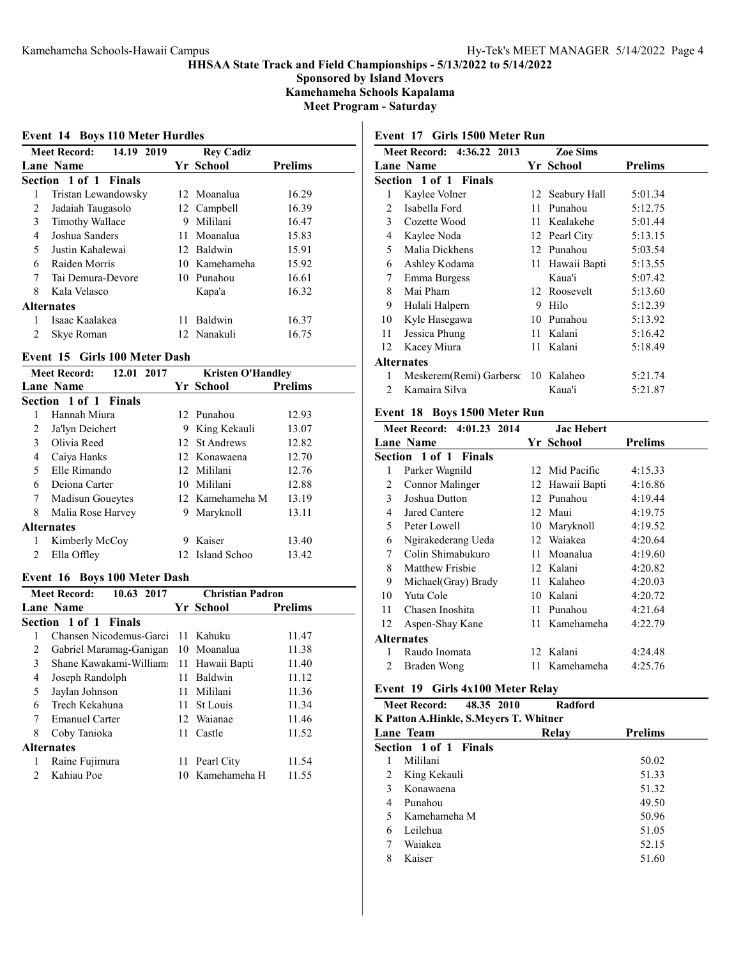Sponsored by Island Movers Kamehameha Schools Kapalama

Meet Program - Saturday

## Event 14 Boys 110 Meter Hurdles

|               | 14.19 2019<br><b>Meet Record:</b> |     | <b>Rey Cadiz</b> |                |
|---------------|-----------------------------------|-----|------------------|----------------|
|               | Lane Name                         |     | Yr School        | <b>Prelims</b> |
|               | Section 1 of 1 Finals             |     |                  |                |
| 1             | Tristan Lewandowsky               |     | 12 Moanalua      | 16.29          |
| 2             | Jadaiah Taugasolo                 |     | 12 Campbell      | 16.39          |
| 3             | Timothy Wallace                   | 9   | Mililani         | 16.47          |
| 4             | Joshua Sanders                    | 11. | Moanalua         | 15.83          |
| 5             | Justin Kahalewai                  |     | 12 Baldwin       | 15.91          |
| 6             | Raiden Morris                     |     | 10 Kamehameha    | 15.92          |
| 7             | Tai Demura-Devore                 |     | 10 Punahou       | 16.61          |
| 8             | Kala Velasco                      |     | Kapa'a           | 16.32          |
|               | <b>Alternates</b>                 |     |                  |                |
| 1             | Isaac Kaalakea                    | 11. | Baldwin          | 16.37          |
| $\mathcal{L}$ | Skye Roman                        |     | 12 Nanakuli      | 16.75          |

### Event 15 Girls 100 Meter Dash

| 12.01 2017<br><b>Meet Record:</b> |                       | <b>Kristen O'Handley</b> |                 |                |
|-----------------------------------|-----------------------|--------------------------|-----------------|----------------|
|                                   | Lane Name             |                          | Yr School       | <b>Prelims</b> |
|                                   | Section 1 of 1 Finals |                          |                 |                |
|                                   | Hannah Miura          |                          | 12 Punahou      | 12.93          |
| 2                                 | Ja'lyn Deichert       |                          | 9 King Kekauli  | 13.07          |
| 3                                 | Olivia Reed           |                          | 12 St Andrews   | 12.82          |
| 4                                 | Caiya Hanks           |                          | 12 Konawaena    | 12.70          |
| $\overline{\phantom{0}}$          | Elle Rimando          |                          | 12 Mililani     | 12.76          |
| 6                                 | Deiona Carter         |                          | 10 Mililani     | 12.88          |
| 7                                 | Madisun Goueytes      |                          | 12 Kamehameha M | 13.19          |
| 8                                 | Malia Rose Harvey     | 9                        | Maryknoll       | 13.11          |
|                                   | <b>Alternates</b>     |                          |                 |                |
| 1                                 | Kimberly McCoy        | 9                        | Kaiser          | 13.40          |
| $\mathfrak{D}$                    | Ella Offley           |                          | 12 Island Schoo | 13.42          |

### Event 16 Boys 100 Meter Dash

|   | 10.63 2017<br><b>Meet Record:</b> |     | <b>Christian Padron</b> |                |
|---|-----------------------------------|-----|-------------------------|----------------|
|   | Lane Name                         |     | Yr School               | <b>Prelims</b> |
|   | Section 1 of 1 Finals             |     |                         |                |
| 1 | Chansen Nicodemus-Garci           |     | 11 Kahuku               | 11.47          |
| 2 | Gabriel Maramag-Ganigan           |     | 10 Moanalua             | 11.38          |
| 3 | Shane Kawakami-Williams           |     | 11 Hawaii Bapti         | 11.40          |
| 4 | Joseph Randolph                   | 11  | Baldwin                 | 11.12          |
| 5 | Jaylan Johnson                    |     | 11 Mililani             | 11.36          |
| 6 | Trech Kekahuna                    | 11. | St Louis                | 11.34          |
| 7 | <b>Emanuel Carter</b>             |     | 12 Waianae              | 11.46          |
| 8 | Coby Tanioka                      | 11. | Castle                  | 11.52          |
|   | <b>Alternates</b>                 |     |                         |                |
| 1 | Raine Fujimura                    |     | 11 Pearl City           | 11.54          |
| 2 | Kahiau Poe                        | 10  | Kamehameha H            | 11.55          |
|   |                                   |     |                         |                |

# Event 17 Girls 1500 Meter Run

|                | Meet Record: 4:36.22 2013          |    | <b>Zoe Sims</b> |                |
|----------------|------------------------------------|----|-----------------|----------------|
|                | <b>Lane Name</b>                   |    | Yr School       | <b>Prelims</b> |
|                | <b>Section 1 of 1 Finals</b>       |    |                 |                |
| 1              | Kaylee Volner                      |    | 12 Seabury Hall | 5:01.34        |
| $\mathfrak{D}$ | Isabella Ford                      | 11 | Punahou         | 5:12.75        |
| 3              | Cozette Wood                       |    | 11 Kealakehe    | 5:01.44        |
| 4              | Kaylee Noda                        |    | 12 Pearl City   | 5:13.15        |
| 5              | Malia Dickhens                     |    | 12 Punahou      | 5:03.54        |
| 6              | Ashley Kodama                      |    | 11 Hawaii Bapti | 5:13.55        |
| 7              | Emma Burgess                       |    | Kaua'i          | 5:07.42        |
| 8              | Mai Pham                           |    | 12 Roosevelt    | 5:13.60        |
| 9              | Hulali Halpern                     | 9  | Hilo            | 5:12.39        |
| 10             | Kyle Hasegawa                      |    | 10 Punahou      | 5:13.92        |
| 11             | Jessica Phung                      |    | 11 Kalani       | 5:16.42        |
| 12             | Kacey Miura                        |    | 11 Kalani       | 5:18.49        |
|                | Alternates                         |    |                 |                |
| 1              | Meskerem(Remi) Garbersc 10 Kalaheo |    |                 | 5:21.74        |
| 2              | Kamaira Silva                      |    | Kaua'i          | 5:21.87        |
|                |                                    |    |                 |                |

## Event 18 Boys 1500 Meter Run

|    | Meet Record: 4:01.23 2014 |    | <b>Jac Hebert</b> |                |
|----|---------------------------|----|-------------------|----------------|
|    | <b>Lane Name</b>          |    | Yr School         | <b>Prelims</b> |
|    | Section 1 of 1 Finals     |    |                   |                |
| 1  | Parker Wagnild            |    | 12 Mid Pacific    | 4:15.33        |
| 2  | Connor Malinger           |    | 12 Hawaii Bapti   | 4:16.86        |
| 3  | Joshua Dutton             |    | 12 Punahou        | 4:19.44        |
| 4  | Jared Cantere             |    | 12 Maui           | 4:19.75        |
| 5  | Peter Lowell              | 10 | Maryknoll         | 4:19.52        |
| 6  | Ngirakederang Ueda        |    | 12 Waiakea        | 4:20.64        |
| 7  | Colin Shimabukuro         | 11 | Moanalua          | 4:19.60        |
| 8  | Matthew Frishie           |    | 12 Kalani         | 4:20.82        |
| 9  | Michael (Gray) Brady      | 11 | Kalaheo           | 4:20.03        |
| 10 | Yuta Cole                 | 10 | Kalani            | 4:20.72        |
| 11 | Chasen Inoshita           | 11 | Punahou           | 4:21.64        |
| 12 | Aspen-Shay Kane           | 11 | Kamehameha        | 4:22.79        |
|    | Alternates                |    |                   |                |
| 1  | Raudo Inomata             |    | 12 Kalani         | 4:24.48        |
| 2  | Braden Wong               | 11 | Kamehameha        | 4:25.76        |
|    |                           |    |                   |                |

## Event 19 Girls 4x100 Meter Relay

|   | 48.35 2010<br><b>Meet Record:</b><br>K Patton A.Hinkle, S.Meyers T. Whitner | Radford |                |
|---|-----------------------------------------------------------------------------|---------|----------------|
|   | Lane Team                                                                   | Relay   | <b>Prelims</b> |
|   | Section 1 of 1 Finals                                                       |         |                |
|   | Mililani                                                                    |         | 50.02          |
| 2 | King Kekauli                                                                |         | 51.33          |
| 3 | Konawaena                                                                   |         | 51.32          |
| 4 | Punahou                                                                     |         | 49.50          |
| 5 | Kamehameha M                                                                |         | 50.96          |
| 6 | Leilehua                                                                    |         | 51.05          |
| 7 | Waiakea                                                                     |         | 52.15          |
| 8 | Kaiser                                                                      |         | 51.60          |
|   |                                                                             |         |                |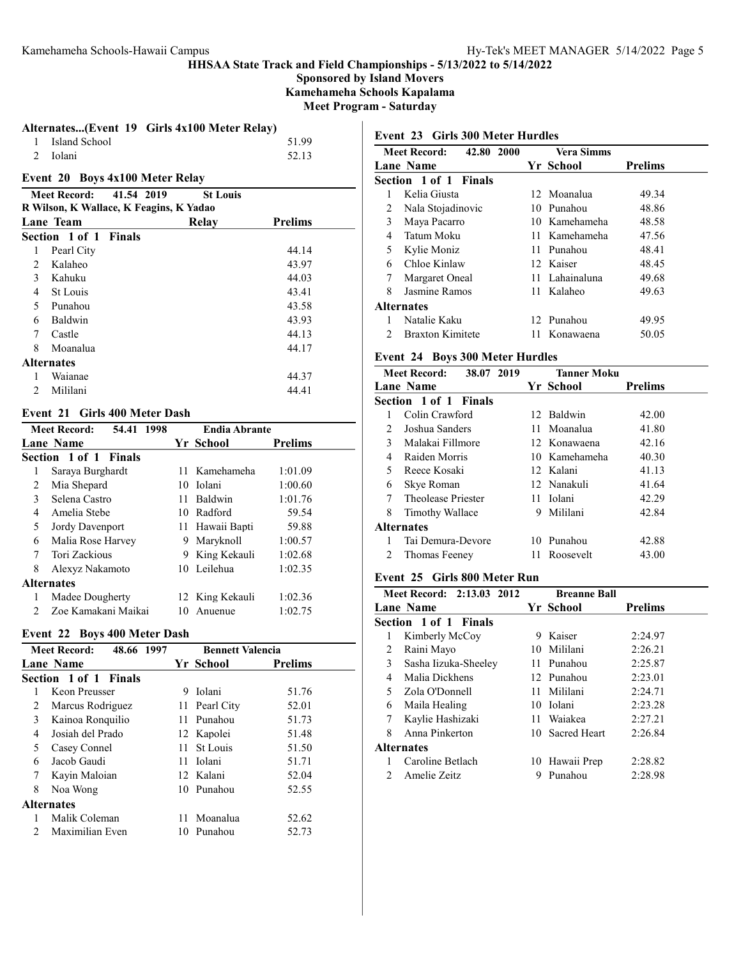Sponsored by Island Movers Kamehameha Schools Kapalama Meet Program - Saturday

|                 | Alternates(Event 19 Girls 4x100 Meter Relay) |       |
|-----------------|----------------------------------------------|-------|
| 1 Island School |                                              | 51.99 |

## Event 20 Boys 4x100 Meter Relay

|                | Meet Record:      | 41.54 2019                              | <b>St Louis</b> |                |
|----------------|-------------------|-----------------------------------------|-----------------|----------------|
|                |                   | R Wilson, K Wallace, K Feagins, K Yadao |                 |                |
|                | Lane Team         |                                         | Relay           | <b>Prelims</b> |
|                | Section 1 of 1    | <b>Finals</b>                           |                 |                |
| 1              | Pearl City        |                                         |                 | 44.14          |
| 2              | Kalaheo           |                                         |                 | 43.97          |
| 3              | Kahuku            |                                         |                 | 44.03          |
| 4              | St Louis          |                                         |                 | 43.41          |
| 5              | Punahou           |                                         |                 | 43.58          |
| 6              | Baldwin           |                                         |                 | 43.93          |
| 7              | Castle            |                                         |                 | 44.13          |
| 8              | Moanalua          |                                         |                 | 44.17          |
|                | <b>Alternates</b> |                                         |                 |                |
|                | Waianae           |                                         |                 | 44.37          |
| $\mathfrak{D}$ | Mililani          |                                         |                 | 44.41          |
|                |                   |                                         |                 |                |

### Event 21 Girls 400 Meter Dash

| <b>Meet Record:</b><br>54.41 |                       | 1998 | <b>Endia Abrante</b> |                 |                |
|------------------------------|-----------------------|------|----------------------|-----------------|----------------|
|                              | Lane Name             |      |                      | Yr School       | <b>Prelims</b> |
|                              | Section 1 of 1 Finals |      |                      |                 |                |
| 1                            | Saraya Burghardt      |      |                      | 11 Kamehameha   | 1:01.09        |
| 2                            | Mia Shepard           |      |                      | 10 Iolani       | 1:00.60        |
| 3                            | Selena Castro         |      | 11                   | Baldwin         | 1:01.76        |
| 4                            | Amelia Stebe          |      | 10.                  | Radford         | 59.54          |
| 5                            | Jordy Davenport       |      |                      | 11 Hawaii Bapti | 59.88          |
| 6                            | Malia Rose Harvey     |      | 9                    | Maryknoll       | 1:00.57        |
| 7                            | Tori Zackious         |      | 9                    | King Kekauli    | 1:02.68        |
| 8                            | Alexyz Nakamoto       |      | 10                   | Leilehua        | 1:02.35        |
| <b>Alternates</b>            |                       |      |                      |                 |                |
|                              | Madee Dougherty       |      |                      | 12 King Kekauli | 1:02.36        |
|                              | Zoe Kamakani Maikai   |      | 10                   | Anuenue         | 1:02.75        |

## Event 22 Boys 400 Meter Dash

| <b>Meet Record:</b><br>48.66 1997 |                       |    | <b>Bennett Valencia</b> |                |  |
|-----------------------------------|-----------------------|----|-------------------------|----------------|--|
|                                   | Lane Name             |    | Yr School               | <b>Prelims</b> |  |
|                                   | Section 1 of 1 Finals |    |                         |                |  |
|                                   | Keon Preusser         | 9  | Iolani                  | 51.76          |  |
| 2                                 | Marcus Rodriguez      |    | 11 Pearl City           | 52.01          |  |
| 3                                 | Kainoa Ronquilio      |    | 11 Punahou              | 51.73          |  |
| 4                                 | Josiah del Prado      |    | 12 Kapolei              | 51.48          |  |
| 5                                 | Casey Connel          | 11 | St Louis                | 51.50          |  |
| 6                                 | Jacob Gaudi           | 11 | Iolani                  | 51.71          |  |
| 7                                 | Kayin Maloian         |    | 12 Kalani               | 52.04          |  |
| 8                                 | Noa Wong              |    | 10 Punahou              | 52.55          |  |
| <b>Alternates</b>                 |                       |    |                         |                |  |
| 1                                 | Malik Coleman         | 11 | Moanalua                | 52.62          |  |
| $\mathcal{P}$                     | Maximilian Even       | 10 | Punahou                 | 52.73          |  |

## Event 23 Girls 300 Meter Hurdles

|                               | 42.80 2000<br><b>Meet Record:</b> |  | <b>Vera Simms</b> |                |  |
|-------------------------------|-----------------------------------|--|-------------------|----------------|--|
|                               | <b>Lane Name</b>                  |  | Yr School         | <b>Prelims</b> |  |
|                               | <b>Section 1 of 1 Finals</b>      |  |                   |                |  |
|                               | Kelia Giusta                      |  | 12 Moanalua       | 49.34          |  |
| 2                             | Nala Stojadinovic                 |  | 10 Punahou        | 48.86          |  |
| 3                             | Maya Pacarro                      |  | 10 Kamehameha     | 48.58          |  |
| 4                             | Tatum Moku                        |  | 11 Kamehameha     | 47.56          |  |
| 5                             | Kylie Moniz                       |  | 11 Punahou        | 48.41          |  |
| 6                             | Chloe Kinlaw                      |  | 12 Kaiser         | 48.45          |  |
| 7                             | Margaret Oneal                    |  | 11 Lahainaluna    | 49.68          |  |
| 8                             | Jasmine Ramos                     |  | 11 Kalaheo        | 49.63          |  |
|                               | Alternates                        |  |                   |                |  |
|                               | Natalie Kaku                      |  | 12 Punahou        | 49.95          |  |
| $\mathfrak{D}_{\mathfrak{p}}$ | <b>Braxton Kimitete</b>           |  | 11 Konawaena      | 50.05          |  |

## Event 24 Boys 300 Meter Hurdles

|    | 38.07 2019<br><b>Meet Record:</b> |   | <b>Tanner Moku</b> |                |
|----|-----------------------------------|---|--------------------|----------------|
|    | <b>Lane Name</b>                  |   | Yr School          | <b>Prelims</b> |
|    | <b>Section 1 of 1 Finals</b>      |   |                    |                |
|    | Colin Crawford                    |   | 12 Baldwin         | 42.00          |
| 2  | Joshua Sanders                    |   | 11 Moanalua        | 41.80          |
| 3  | Malakai Fillmore                  |   | 12 Konawaena       | 42.16          |
| 4  | Raiden Morris                     |   | 10 Kamehameha      | 40.30          |
| 5. | Reece Kosaki                      |   | 12 Kalani          | 41.13          |
| 6  | Skye Roman                        |   | 12 Nanakuli        | 41.64          |
| 7  | Theolease Priester                |   | 11 Iolani          | 42.29          |
| 8  | Timothy Wallace                   | 9 | Mililani           | 42.84          |
|    | Alternates                        |   |                    |                |
| 1  | Tai Demura-Devore                 |   | 10 Punahou         | 42.88          |
|    | Thomas Feeney                     |   | 11 Roosevelt       | 43.00          |
|    |                                   |   |                    |                |

## Event 25 Girls 800 Meter Run

|   | Meet Record: 2:13.03 2012 |   | <b>Breanne Ball</b> |                |
|---|---------------------------|---|---------------------|----------------|
|   | <b>Lane Name</b>          |   | Yr School           | <b>Prelims</b> |
|   | Section 1 of 1 Finals     |   |                     |                |
| 1 | Kimberly McCoy            | 9 | Kaiser              | 2:24.97        |
| 2 | Raini Mayo                |   | 10 Mililani         | 2:26.21        |
| 3 | Sasha Iizuka-Sheeley      |   | 11 Punahou          | 2:25.87        |
| 4 | Malia Dickhens            |   | 12 Punahou          | 2:23.01        |
| 5 | Zola O'Donnell            |   | 11 Mililani         | 2:24.71        |
| 6 | Maila Healing             |   | 10 Iolani           | 2:23.28        |
| 7 | Kaylie Hashizaki          |   | 11 Waiakea          | 2:27.21        |
| 8 | Anna Pinkerton            |   | 10 Sacred Heart     | 2:26.84        |
|   | <b>Alternates</b>         |   |                     |                |
|   | Caroline Betlach          |   | 10 Hawaii Prep      | 2:28.82        |
| 2 | Amelie Zeitz              | 9 | Punahou             | 2:28.98        |
|   |                           |   |                     |                |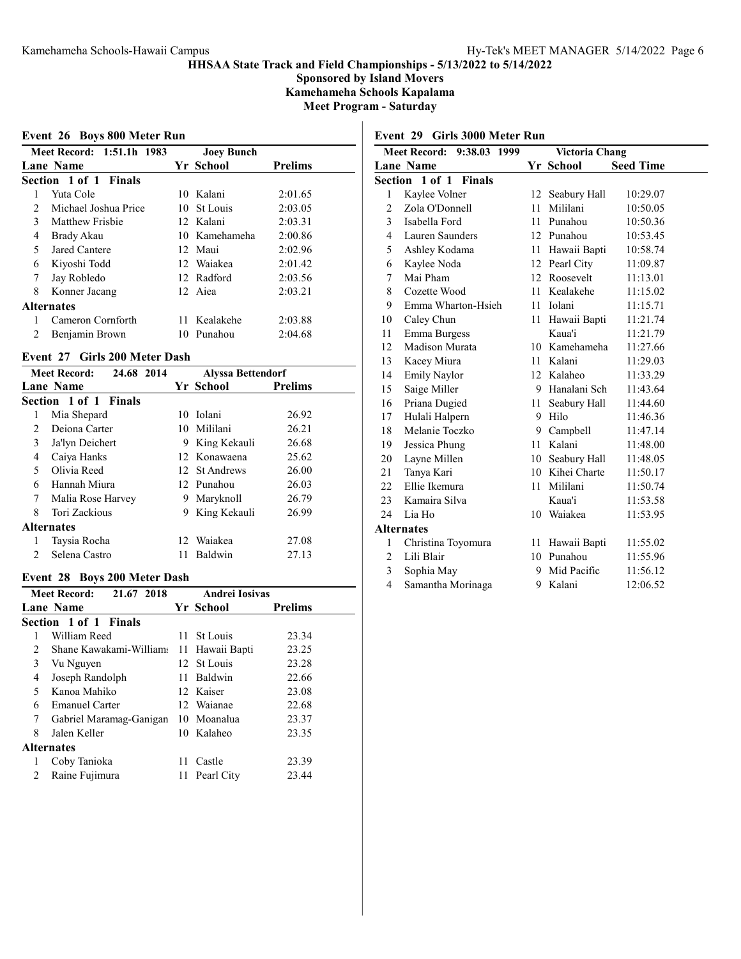Sponsored by Island Movers Kamehameha Schools Kapalama Meet Program - Saturday

## Event 26 Boys 800 Meter Run

|                   | Meet Record: 1:51.1h 1983<br><b>Joey Bunch</b> |  |               |                |  |  |  |
|-------------------|------------------------------------------------|--|---------------|----------------|--|--|--|
|                   | <b>Lane Name</b>                               |  | Yr School     | <b>Prelims</b> |  |  |  |
|                   | Section 1 of 1 Finals                          |  |               |                |  |  |  |
|                   | Yuta Cole                                      |  | 10 Kalani     | 2:01.65        |  |  |  |
| 2 <sup>1</sup>    | Michael Joshua Price                           |  | 10 St Louis   | 2:03.05        |  |  |  |
| 3                 | Matthew Frishie                                |  | 12 Kalani     | 2:03.31        |  |  |  |
| 4                 | Brady Akau                                     |  | 10 Kamehameha | 2:00.86        |  |  |  |
| 5                 | Jared Cantere                                  |  | 12 Maui       | 2:02.96        |  |  |  |
| 6                 | Kiyoshi Todd                                   |  | 12 Waiakea    | 2:01.42        |  |  |  |
| 7                 | Jay Robledo                                    |  | 12 Radford    | 2:03.56        |  |  |  |
| 8                 | Konner Jacang                                  |  | 12 Aiea       | 2:03.21        |  |  |  |
| <b>Alternates</b> |                                                |  |               |                |  |  |  |
|                   | Cameron Cornforth                              |  | 11 Kealakehe  | 2:03.88        |  |  |  |
|                   | Benjamin Brown                                 |  | 10 Punahou    | 2:04.68        |  |  |  |

### Event 27 Girls 200 Meter Dash

| 24.68 2014<br><b>Meet Record:</b> |                       |    | <b>Alyssa Bettendorf</b> |                |  |
|-----------------------------------|-----------------------|----|--------------------------|----------------|--|
|                                   | Lane Name             |    | Yr School                | <b>Prelims</b> |  |
|                                   | Section 1 of 1 Finals |    |                          |                |  |
| 1                                 | Mia Shepard           | 10 | Iolani                   | 26.92          |  |
| 2                                 | Deiona Carter         |    | 10 Mililani              | 26.21          |  |
| 3                                 | Ja'lyn Deichert       | 9  | King Kekauli             | 26.68          |  |
| 4                                 | Caiya Hanks           |    | 12 Konawaena             | 25.62          |  |
| 5                                 | Olivia Reed           |    | 12 St Andrews            | 26.00          |  |
| 6                                 | Hannah Miura          |    | 12. Punahou              | 26.03          |  |
| 7                                 | Malia Rose Harvey     | 9  | Maryknoll                | 26.79          |  |
| 8                                 | Tori Zackious         | 9  | King Kekauli             | 26.99          |  |
|                                   | <b>Alternates</b>     |    |                          |                |  |
| l                                 | Taysia Rocha          |    | 12 Waiakea               | 27.08          |  |
| $\mathfrak{D}$                    | Selena Castro         | 11 | Baldwin                  | 27.13          |  |

## Event 28 Boys 200 Meter Dash

| <b>Meet Record:</b><br>21.67 2018 |                         |     | <b>Andrei Iosivas</b> |                |
|-----------------------------------|-------------------------|-----|-----------------------|----------------|
|                                   | Lane Name               |     | Yr School             | <b>Prelims</b> |
|                                   | Section 1 of 1 Finals   |     |                       |                |
| 1                                 | William Reed            |     | 11 St Louis           | 23.34          |
| 2                                 | Shane Kawakami-Williams |     | 11 Hawaii Bapti       | 23.25          |
| 3                                 | Vu Nguyen               |     | 12 St Louis           | 23.28          |
| 4                                 | Joseph Randolph         | 11. | Baldwin               | 22.66          |
| 5                                 | Kanoa Mahiko            |     | 12 Kaiser             | 23.08          |
| 6                                 | Emanuel Carter          |     | 12. Waianae           | 22.68          |
| 7                                 | Gabriel Maramag-Ganigan |     | 10 Moanalua           | 23.37          |
| 8                                 | Jalen Keller            |     | 10 Kalaheo            | 23.35          |
|                                   | <b>Alternates</b>       |     |                       |                |
|                                   | Coby Tanioka            | 11  | Castle                | 23.39          |
|                                   | Raine Fujimura          | 11  | Pearl City            | 23.44          |
|                                   |                         |     |                       |                |

# Event 29 Girls 3000 Meter Run

| <b>Meet Record:</b><br>Victoria Chang<br>9:38.03 1999 |                       |    |                 |                  |
|-------------------------------------------------------|-----------------------|----|-----------------|------------------|
|                                                       | <b>Lane Name</b>      |    | Yr School       | <b>Seed Time</b> |
|                                                       | Section 1 of 1 Finals |    |                 |                  |
| 1                                                     | Kaylee Volner         | 12 | Seabury Hall    | 10:29.07         |
| $\overline{2}$                                        | Zola O'Donnell        | 11 | Mililani        | 10:50.05         |
| 3                                                     | Isabella Ford         | 11 | Punahou         | 10:50.36         |
| $\overline{4}$                                        | Lauren Saunders       |    | 12 Punahou      | 10:53.45         |
| 5                                                     | Ashley Kodama         |    | 11 Hawaii Bapti | 10:58.74         |
| 6                                                     | Kaylee Noda           |    | 12 Pearl City   | 11:09.87         |
| 7                                                     | Mai Pham              | 12 | Roosevelt       | 11:13.01         |
| 8                                                     | Cozette Wood          |    | 11 Kealakehe    | 11:15.02         |
| 9                                                     | Emma Wharton-Hsieh    | 11 | Iolani          | 11:15.71         |
| 10                                                    | Caley Chun            | 11 | Hawaii Bapti    | 11:21.74         |
| 11                                                    | Emma Burgess          |    | Kaua'i          | 11:21.79         |
| 12                                                    | Madison Murata        |    | 10 Kamehameha   | 11:27.66         |
| 13                                                    | Kacey Miura           | 11 | Kalani          | 11:29.03         |
| 14                                                    | <b>Emily Naylor</b>   |    | 12 Kalaheo      | 11:33.29         |
| 15                                                    | Saige Miller          |    | 9 Hanalani Sch  | 11:43.64         |
| 16                                                    | Priana Dugied         | 11 | Seabury Hall    | 11:44.60         |
| 17                                                    | Hulali Halpern        |    | 9 Hilo          | 11:46.36         |
| 18                                                    | Melanie Toczko        | 9  | Campbell        | 11:47.14         |
| 19                                                    | Jessica Phung         | 11 | Kalani          | 11:48.00         |
| 20                                                    | Layne Millen          |    | 10 Seabury Hall | 11:48.05         |
| 21                                                    | Tanya Kari            |    | 10 Kihei Charte | 11:50.17         |
| 22                                                    | Ellie Ikemura         | 11 | Mililani        | 11:50.74         |
| 23                                                    | Kamaira Silva         |    | Kaua'i          | 11:53.58         |
| 24                                                    | Lia Ho                | 10 | Waiakea         | 11:53.95         |
| <b>Alternates</b>                                     |                       |    |                 |                  |
| $\mathbf{1}$                                          | Christina Toyomura    |    | 11 Hawaii Bapti | 11:55.02         |
| $\overline{2}$                                        | Lili Blair            | 10 | Punahou         | 11:55.96         |
| 3                                                     | Sophia May            | 9  | Mid Pacific     | 11:56.12         |
| $\overline{4}$                                        | Samantha Morinaga     | 9  | Kalani          | 12:06.52         |